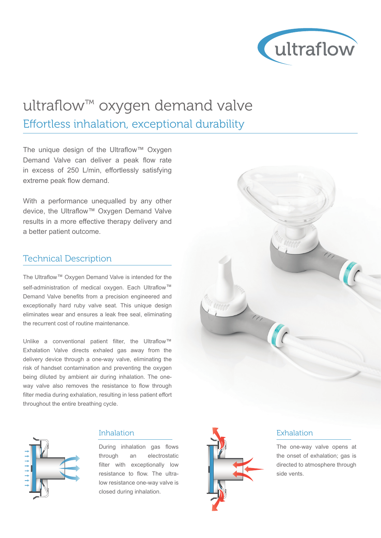

## ultraflow™ oxygen demand valve Effortless inhalation, exceptional durability

The unique design of the Ultraflow™ Oxygen Demand Valve can deliver a peak flow rate in excess of 250 L/min, effortlessly satisfying extreme peak flow demand.

With a performance unequalled by any other device, the Ultraflow™ Oxygen Demand Valve results in a more effective therapy delivery and a better patient outcome.

### Technical Description

The Ultraflow™ Oxygen Demand Valve is intended for the self-administration of medical oxygen. Each Ultraflow<sup>™</sup> Demand Valve benefits from a precision engineered and exceptionally hard ruby valve seat. This unique design eliminates wear and ensures a leak free seal, eliminating the recurrent cost of routine maintenance.

Unlike a conventional patient filter, the Ultraflow™ Exhalation Valve directs exhaled gas away from the delivery device through a one-way valve, eliminating the risk of handset contamination and preventing the oxygen being diluted by ambient air during inhalation. The oneway valve also removes the resistance to flow through filter media during exhalation, resulting in less patient effort throughout the entire breathing cycle.



#### Inhalation

During inhalation gas flows through an electrostatic filter with exceptionally low resistance to flow. The ultralow resistance one-way valve is closed during inhalation.



#### Exhalation

The one-way valve opens at the onset of exhalation; gas is directed to atmosphere through side vents.